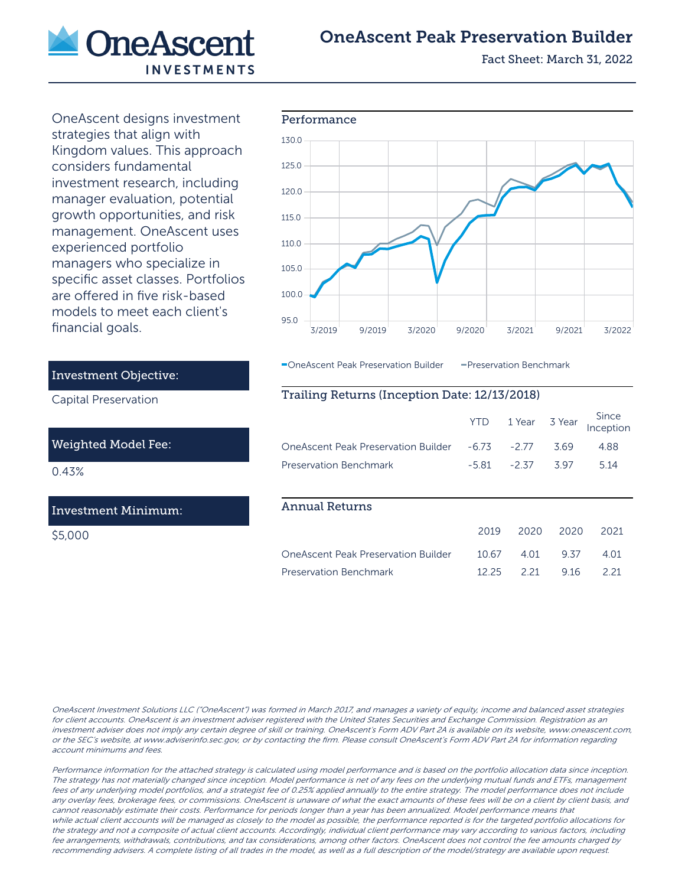![](_page_0_Picture_0.jpeg)

## OneAscent Peak Preservation Builder

Fact Sheet: March 31, 2022

OneAscent designs investment strategies that align with Kingdom values. This approach considers fundamental investment research, including manager evaluation, potential growth opportunities, and risk management. OneAscent uses experienced portfolio managers who specialize in specific asset classes. Portfolios are offered in five risk-based models to meet each client's financial goals.

![](_page_0_Figure_4.jpeg)

OneAscent Peak Preservation Builder - Preservation Benchmark

## Trailing Returns (Inception Date: 12/13/2018)

|                                                          |                  | YTD 1 Year 3 Year Since<br>Inception |
|----------------------------------------------------------|------------------|--------------------------------------|
| OneAscent Peak Preservation Builder   4.5   4.577   5.69 |                  | 488                                  |
| <b>Preservation Benchmark</b>                            | -5.81 -2.37 3.97 | -5.14                                |

## Annual Returns

|                        |  | 2019 2020 2020 2021 |       |
|------------------------|--|---------------------|-------|
|                        |  |                     | 4 O 1 |
| Preservation Benchmark |  | 1225 221 916        | 221   |

OneAscent Investment Solutions LLC ("OneAscent") was formed in March 2017, and manages a variety of equity, income and balanced asset strategies for client accounts. OneAscent is an investment adviser registered with the United States Securities and Exchange Commission. Registration as an investment adviser does not imply any certain degree of skill or training. OneAscent's Form ADV Part 2A is available on its website, www.oneascent.com, or the SEC's website, at www.adviserinfo.sec.gov, or by contacting the firm. Please consult OneAscent's Form ADV Part 2A for information regarding account minimums and fees.

Performance information for the attached strategy is calculated using model performance and is based on the portfolio allocation data since inception. The strategy has not materially changed since inception. Model performance is net of any fees on the underlying mutual funds and ETFs, management fees of any underlying model portfolios, and a strategist fee of 0.25% applied annually to the entire strategy. The model performance does not include any overlay fees, brokerage fees, or commissions. OneAscent is unaware of what the exact amounts of these fees will be on a client by client basis, and cannot reasonably estimate their costs. Performance for periods longer than a year has been annualized. Model performance means that while actual client accounts will be managed as closely to the model as possible, the performance reported is for the targeted portfolio allocations for the strategy and not a composite of actual client accounts. Accordingly, individual client performance may vary according to various factors, including fee arrangements, withdrawals, contributions, and tax considerations, among other factors. OneAscent does not control the fee amounts charged by recommending advisers. A complete listing of all trades in the model, as well as a full description of the model/strategy are available upon request.

#### Investment Objective:

Capital Preservation

#### Weighted Model Fee:

0.43%

### Investment Minimum:

\$5,000